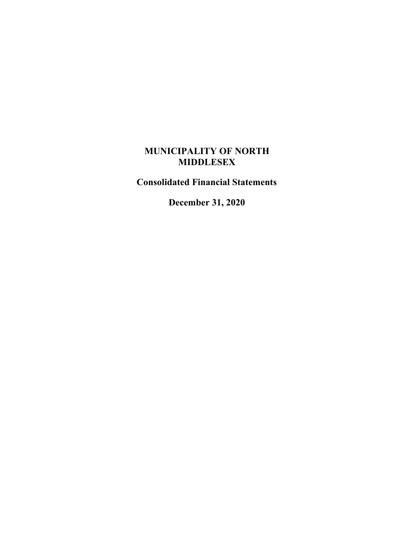**Consolidated Financial Statements**

**December 31, 2020**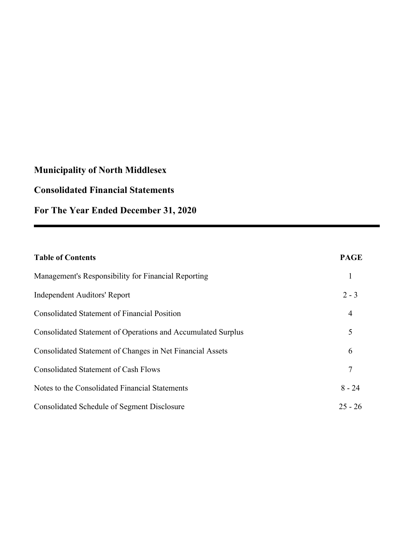# **Consolidated Financial Statements**

# **For The Year Ended December 31, 2020**

| <b>Table of Contents</b>                                     | <b>PAGE</b>    |
|--------------------------------------------------------------|----------------|
| Management's Responsibility for Financial Reporting          | 1              |
| Independent Auditors' Report                                 | $2 - 3$        |
| <b>Consolidated Statement of Financial Position</b>          | $\overline{4}$ |
| Consolidated Statement of Operations and Accumulated Surplus | 5              |
| Consolidated Statement of Changes in Net Financial Assets    | 6              |
| <b>Consolidated Statement of Cash Flows</b>                  |                |
| Notes to the Consolidated Financial Statements               | $8 - 24$       |
| Consolidated Schedule of Segment Disclosure                  | $25 - 26$      |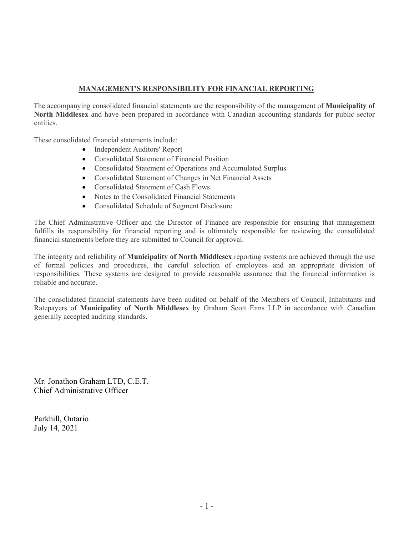#### **MANAGEMENT'S RESPONSIBILITY FOR FINANCIAL REPORTING**

The accompanying consolidated financial statements are the responsibility of the management of **Municipality of North Middlesex** and have been prepared in accordance with Canadian accounting standards for public sector entities.

These consolidated financial statements include:

- Independent Auditors' Report
- Consolidated Statement of Financial Position
- Consolidated Statement of Operations and Accumulated Surplus
- Consolidated Statement of Changes in Net Financial Assets
- Consolidated Statement of Cash Flows
- Notes to the Consolidated Financial Statements
- Consolidated Schedule of Segment Disclosure

The Chief Administrative Officer and the Director of Finance are responsible for ensuring that management fulfills its responsibility for financial reporting and is ultimately responsible for reviewing the consolidated financial statements before they are submitted to Council for approval.

The integrity and reliability of **Municipality of North Middlesex** reporting systems are achieved through the use of formal policies and procedures, the careful selection of employees and an appropriate division of responsibilities. These systems are designed to provide reasonable assurance that the financial information is reliable and accurate.

The consolidated financial statements have been audited on behalf of the Members of Council, Inhabitants and Ratepayers of **Municipality of North Middlesex** by Graham Scott Enns LLP in accordance with Canadian generally accepted auditing standards.

Mr. Jonathon Graham LTD, C.E.T. Chief Administrative Officer

Parkhill, Ontario July 14, 2021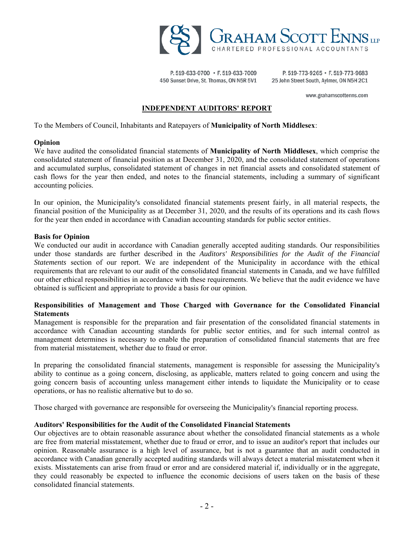

P. 519-633-0700 • F. 519-633-7009 450 Sunset Drive, St. Thomas, ON N5R 5V1

P. 519-773-9265 · F. 519-773-9683 25 John Street South, Aylmer, ON N5H 2C1

www.grahamscottenns.com

#### **INDEPENDENT AUDITORS' REPORT**

To the Members of Council, Inhabitants and Ratepayers of **Municipality of North Middlesex**:

#### **Opinion**

We have audited the consolidated financial statements of **Municipality of North Middlesex**, which comprise the consolidated statement of financial position as at December 31, 2020, and the consolidated statement of operations and accumulated surplus, consolidated statement of changes in net financial assets and consolidated statement of cash flows for the year then ended, and notes to the financial statements, including a summary of significant accounting policies.

In our opinion, the Municipality's consolidated financial statements present fairly, in all material respects, the financial position of the Municipality as at December 31, 2020, and the results of its operations and its cash flows for the year then ended in accordance with Canadian accounting standards for public sector entities.

#### **Basis for Opinion**

We conducted our audit in accordance with Canadian generally accepted auditing standards. Our responsibilities under those standards are further described in the *Auditors' Responsibilities for the Audit of the Financial Statements* section of our report. We are independent of the Municipality in accordance with the ethical requirements that are relevant to our audit of the consolidated financial statements in Canada, and we have fulfilled our other ethical responsibilities in accordance with these requirements. We believe that the audit evidence we have obtained is sufficient and appropriate to provide a basis for our opinion.

#### **Responsibilities of Management and Those Charged with Governance for the Consolidated Financial Statements**

Management is responsible for the preparation and fair presentation of the consolidated financial statements in accordance with Canadian accounting standards for public sector entities, and for such internal control as management determines is necessary to enable the preparation of consolidated financial statements that are free from material misstatement, whether due to fraud or error.

In preparing the consolidated financial statements, management is responsible for assessing the Municipality's ability to continue as a going concern, disclosing, as applicable, matters related to going concern and using the going concern basis of accounting unless management either intends to liquidate the Municipality or to cease operations, or has no realistic alternative but to do so.

Those charged with governance are responsible for overseeing the Municipality's financial reporting process.

#### **Auditors' Responsibilities for the Audit of the Consolidated Financial Statements**

Our objectives are to obtain reasonable assurance about whether the consolidated financial statements as a whole are free from material misstatement, whether due to fraud or error, and to issue an auditor's report that includes our opinion. Reasonable assurance is a high level of assurance, but is not a guarantee that an audit conducted in accordance with Canadian generally accepted auditing standards will always detect a material misstatement when it exists. Misstatements can arise from fraud or error and are considered material if, individually or in the aggregate, they could reasonably be expected to influence the economic decisions of users taken on the basis of these consolidated financial statements.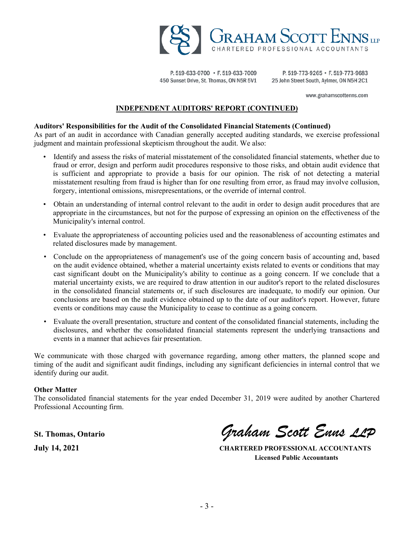

P. 519-633-0700 • F. 519-633-7009 450 Sunset Drive, St. Thomas, ON N5R 5V1

P. 519-773-9265 · F. 519-773-9683 25 John Street South, Aylmer, ON N5H 2C1

www.grahamscottenns.com

#### **INDEPENDENT AUDITORS' REPORT (CONTINUED)**

#### **Auditors' Responsibilities for the Audit of the Consolidated Financial Statements (Continued)**

As part of an audit in accordance with Canadian generally accepted auditing standards, we exercise professional judgment and maintain professional skepticism throughout the audit. We also:

- Identify and assess the risks of material misstatement of the consolidated financial statements, whether due to fraud or error, design and perform audit procedures responsive to those risks, and obtain audit evidence that is sufficient and appropriate to provide a basis for our opinion. The risk of not detecting a material misstatement resulting from fraud is higher than for one resulting from error, as fraud may involve collusion, forgery, intentional omissions, misrepresentations, or the override of internal control.
- Obtain an understanding of internal control relevant to the audit in order to design audit procedures that are appropriate in the circumstances, but not for the purpose of expressing an opinion on the effectiveness of the Municipality's internal control.
- Evaluate the appropriateness of accounting policies used and the reasonableness of accounting estimates and related disclosures made by management.
- Conclude on the appropriateness of management's use of the going concern basis of accounting and, based on the audit evidence obtained, whether a material uncertainty exists related to events or conditions that may cast significant doubt on the Municipality's ability to continue as a going concern. If we conclude that a material uncertainty exists, we are required to draw attention in our auditor's report to the related disclosures in the consolidated financial statements or, if such disclosures are inadequate, to modify our opinion. Our conclusions are based on the audit evidence obtained up to the date of our auditor's report. However, future events or conditions may cause the Municipality to cease to continue as a going concern.
- Evaluate the overall presentation, structure and content of the consolidated financial statements, including the disclosures, and whether the consolidated financial statements represent the underlying transactions and events in a manner that achieves fair presentation.

We communicate with those charged with governance regarding, among other matters, the planned scope and timing of the audit and significant audit findings, including any significant deficiencies in internal control that we identify during our audit.

#### **Other Matter**

The consolidated financial statements for the year ended December 31, 2019 were audited by another Chartered Professional Accounting firm.

**St. Thomas, Ontario** *Graham Scott Enns LLP*

**July 14, 2021 CHARTERED PROFESSIONAL ACCOUNTANTS Licensed Public Accountants**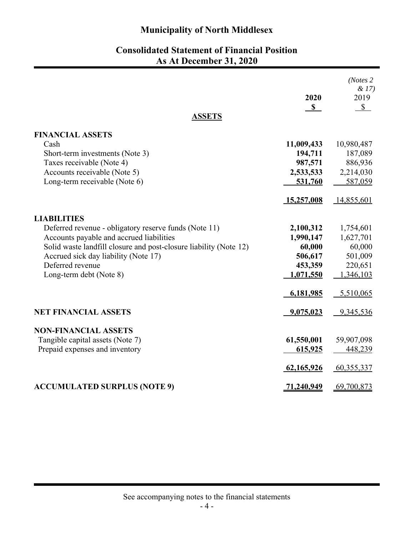# **Consolidated Statement of Financial Position As At December 31, 2020**

| <b>ASSETS</b>                                                     | 2020<br>$\mathbb{S}$ | (Notes 2]<br>& 17)<br>2019<br>$\mathbb{S}$ |
|-------------------------------------------------------------------|----------------------|--------------------------------------------|
| <b>FINANCIAL ASSETS</b>                                           |                      |                                            |
| Cash                                                              | 11,009,433           | 10,980,487                                 |
| Short-term investments (Note 3)                                   | 194,711              | 187,089                                    |
| Taxes receivable (Note 4)                                         | 987,571              | 886,936                                    |
| Accounts receivable (Note 5)                                      | 2,533,533            | 2,214,030                                  |
| Long-term receivable (Note 6)                                     | 531,760              | 587,059                                    |
|                                                                   | 15,257,008           | 14,855,601                                 |
| <b>LIABILITIES</b>                                                |                      |                                            |
| Deferred revenue - obligatory reserve funds (Note 11)             | 2,100,312            | 1,754,601                                  |
| Accounts payable and accrued liabilities                          | 1,990,147            | 1,627,701                                  |
| Solid waste landfill closure and post-closure liability (Note 12) | 60,000               | 60,000                                     |
| Accrued sick day liability (Note 17)                              | 506,617              | 501,009                                    |
| Deferred revenue                                                  | 453,359              | 220,651                                    |
| Long-term debt (Note 8)                                           | 1,071,550            | 1,346,103                                  |
|                                                                   | 6,181,985            | 5,510,065                                  |
| <b>NET FINANCIAL ASSETS</b>                                       | 9,075,023            | 9,345,536                                  |
| <b>NON-FINANCIAL ASSETS</b>                                       |                      |                                            |
| Tangible capital assets (Note 7)                                  | 61,550,001           | 59,907,098                                 |
| Prepaid expenses and inventory                                    | 615,925              | 448,239                                    |
|                                                                   | 62,165,926           | 60,355,337                                 |
| <b>ACCUMULATED SURPLUS (NOTE 9)</b>                               | 71,240,949           | 69,700,873                                 |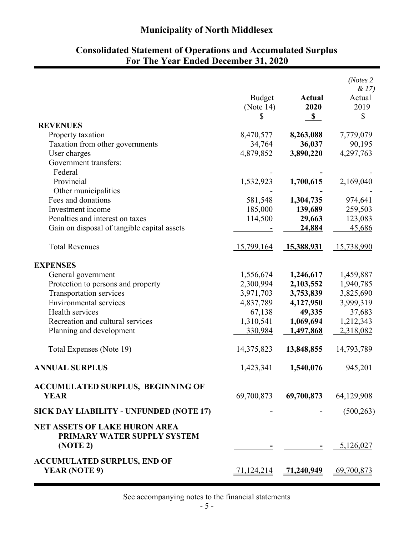| <b>Consolidated Statement of Operations and Accumulated Surplus</b> |
|---------------------------------------------------------------------|
| For The Year Ended December 31, 2020                                |

|                                                                                 |                        |                   | (Notes 2]<br>& 17) |
|---------------------------------------------------------------------------------|------------------------|-------------------|--------------------|
|                                                                                 | Budget<br>(Note $14$ ) | Actual<br>2020    | Actual<br>2019     |
| <b>REVENUES</b>                                                                 | $\mathbb{S}$           | $\mathbf{s}$      | $\mathbb{S}$       |
| Property taxation                                                               | 8,470,577              | 8,263,088         | 7,779,079          |
| Taxation from other governments                                                 | 34,764                 | 36,037            | 90,195             |
| User charges                                                                    | 4,879,852              | 3,890,220         | 4,297,763          |
| Government transfers:                                                           |                        |                   |                    |
| Federal                                                                         |                        |                   |                    |
| Provincial                                                                      | 1,532,923              | 1,700,615         | 2,169,040          |
| Other municipalities                                                            |                        |                   |                    |
| Fees and donations                                                              | 581,548                | 1,304,735         | 974,641            |
| Investment income                                                               | 185,000                | 139,689           | 259,503            |
| Penalties and interest on taxes                                                 | 114,500                | 29,663            | 123,083            |
| Gain on disposal of tangible capital assets                                     |                        | 24,884            | 45,686             |
| <b>Total Revenues</b>                                                           | 15,799,164             | 15,388,931        | 15,738,990         |
| <b>EXPENSES</b>                                                                 |                        |                   |                    |
| General government                                                              | 1,556,674              | 1,246,617         | 1,459,887          |
| Protection to persons and property                                              | 2,300,994              | 2,103,552         | 1,940,785          |
| Transportation services                                                         | 3,971,703              | 3,753,839         | 3,825,690          |
| <b>Environmental services</b>                                                   | 4,837,789              | 4,127,950         | 3,999,319          |
| Health services                                                                 | 67,138                 | 49,335            | 37,683             |
| Recreation and cultural services                                                | 1,310,541              | 1,069,694         | 1,212,343          |
| Planning and development                                                        | 330,984                | 1,497,868         | 2,318,082          |
| Total Expenses (Note 19)                                                        | 14,375,823             | 13,848,855        | 14,793,789         |
| <b>ANNUAL SURPLUS</b>                                                           | 1,423,341              | 1,540,076         | 945,201            |
| <b>ACCUMULATED SURPLUS, BEGINNING OF</b><br><b>YEAR</b>                         | 69,700,873             | 69,700,873        | 64,129,908         |
| SICK DAY LIABILITY - UNFUNDED (NOTE 17)                                         |                        |                   | (500, 263)         |
| <b>NET ASSETS OF LAKE HURON AREA</b><br>PRIMARY WATER SUPPLY SYSTEM<br>(NOTE 2) |                        |                   | 5,126,027          |
| <b>ACCUMULATED SURPLUS, END OF</b><br><b>YEAR (NOTE 9)</b>                      | <u>71,124,214</u>      | <u>71,240,949</u> | 69,700,873         |

See accompanying notes to the financial statements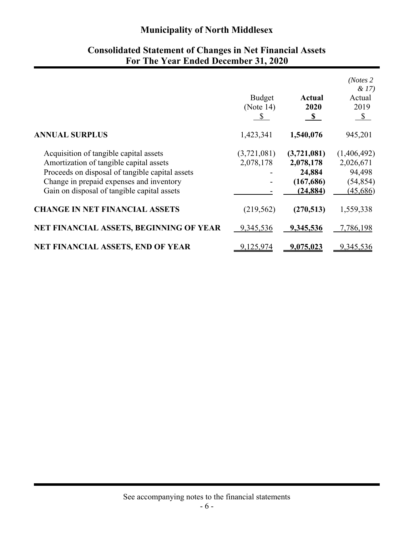| FUL THE TEAL ENGEY DECEMBER 31, 2020                                                                                                                                                                                            |                                        |                                                               |                                                             |
|---------------------------------------------------------------------------------------------------------------------------------------------------------------------------------------------------------------------------------|----------------------------------------|---------------------------------------------------------------|-------------------------------------------------------------|
|                                                                                                                                                                                                                                 | Budget<br>(Note $14$ )<br>$\mathbb{S}$ | Actual<br>2020<br>$\mathbf{s}$                                | (Notes 2)<br>& 17)<br>Actual<br>2019<br>$\mathbb{S}$        |
| <b>ANNUAL SURPLUS</b>                                                                                                                                                                                                           | 1,423,341                              | 1,540,076                                                     | 945,201                                                     |
| Acquisition of tangible capital assets<br>Amortization of tangible capital assets<br>Proceeds on disposal of tangible capital assets<br>Change in prepaid expenses and inventory<br>Gain on disposal of tangible capital assets | (3,721,081)<br>2,078,178               | (3,721,081)<br>2,078,178<br>24,884<br>(167, 686)<br>(24, 884) | (1,406,492)<br>2,026,671<br>94,498<br>(54, 854)<br>(45,686) |
| <b>CHANGE IN NET FINANCIAL ASSETS</b>                                                                                                                                                                                           | (219, 562)                             | (270, 513)                                                    | 1,559,338                                                   |
| NET FINANCIAL ASSETS, BEGINNING OF YEAR                                                                                                                                                                                         | 9,345,536                              | 9,345,536                                                     | 7,786,198                                                   |
| NET FINANCIAL ASSETS, END OF YEAR                                                                                                                                                                                               | 9,125,974                              | 9,075,023                                                     | 9,345,536                                                   |

### **Consolidated Statement of Changes in Net Financial Assets For The Year Ended December 31, 2020**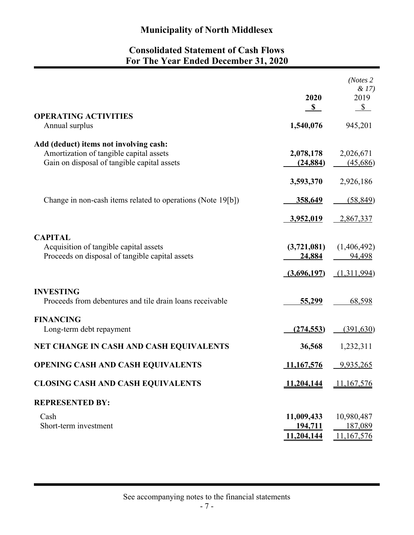## **Consolidated Statement of Cash Flows For The Year Ended December 31, 2020**

|                                                                                                                                  | 2020<br>$\mathbf{s}$                 | (Notes 2)<br>& 17)<br>2019<br>$\mathbb{S}$ |
|----------------------------------------------------------------------------------------------------------------------------------|--------------------------------------|--------------------------------------------|
| <b>OPERATING ACTIVITIES</b><br>Annual surplus                                                                                    | 1,540,076                            | 945,201                                    |
| Add (deduct) items not involving cash:<br>Amortization of tangible capital assets<br>Gain on disposal of tangible capital assets | 2,078,178<br>(24, 884)               | 2,026,671<br>(45,686)                      |
|                                                                                                                                  | 3,593,370                            | 2,926,186                                  |
| Change in non-cash items related to operations (Note 19[b])                                                                      | 358,649                              | (58, 849)                                  |
|                                                                                                                                  | <u>3,952,019</u>                     | 2,867,337                                  |
| <b>CAPITAL</b><br>Acquisition of tangible capital assets<br>Proceeds on disposal of tangible capital assets                      | (3,721,081)<br>24,884<br>(3,696,197) | (1,406,492)<br>94,498<br>(1,311,994)       |
| <b>INVESTING</b><br>Proceeds from debentures and tile drain loans receivable                                                     | 55,299                               | 68,598                                     |
| <b>FINANCING</b><br>Long-term debt repayment                                                                                     | (274, 553)                           | (391, 630)                                 |
| NET CHANGE IN CASH AND CASH EQUIVALENTS                                                                                          | 36,568                               | 1,232,311                                  |
| <b>OPENING CASH AND CASH EQUIVALENTS</b>                                                                                         | 11,167,576                           | 9,935,265                                  |
| <b>CLOSING CASH AND CASH EQUIVALENTS</b>                                                                                         | 11,204,144                           | 11,167,576                                 |
| <b>REPRESENTED BY:</b>                                                                                                           |                                      |                                            |
| Cash<br>Short-term investment                                                                                                    | 11,009,433<br>194,711<br>11,204,144  | 10,980,487<br>187,089<br>11,167,576        |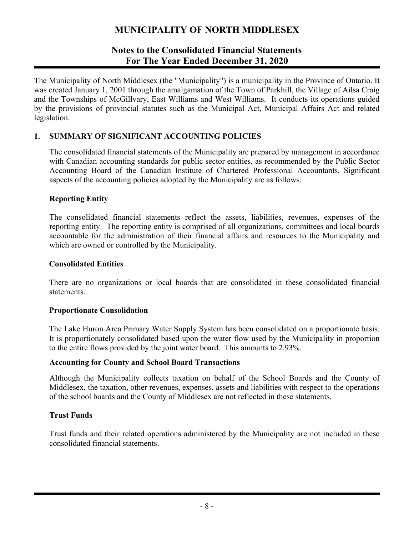### **Notes to the Consolidated Financial Statements For The Year Ended December 31, 2020**

The Municipality of North Middlesex (the "Municipality") is a municipality in the Province of Ontario. It was created January 1, 2001 through the amalgamation of the Town of Parkhill, the Village of Ailsa Craig and the Townships of McGillvary, East Williams and West Williams. It conducts its operations guided by the provisions of provincial statutes such as the Municipal Act, Municipal Affairs Act and related legislation.

### **1. SUMMARY OF SIGNIFICANT ACCOUNTING POLICIES**

The consolidated financial statements of the Municipality are prepared by management in accordance with Canadian accounting standards for public sector entities, as recommended by the Public Sector Accounting Board of the Canadian Institute of Chartered Professional Accountants. Significant aspects of the accounting policies adopted by the Municipality are as follows:

### **Reporting Entity**

The consolidated financial statements reflect the assets, liabilities, revenues, expenses of the reporting entity. The reporting entity is comprised of all organizations, committees and local boards accountable for the administration of their financial affairs and resources to the Municipality and which are owned or controlled by the Municipality.

#### **Consolidated Entities**

There are no organizations or local boards that are consolidated in these consolidated financial statements.

### **Proportionate Consolidation**

The Lake Huron Area Primary Water Supply System has been consolidated on a proportionate basis. It is proportionately consolidated based upon the water flow used by the Municipality in proportion to the entire flows provided by the joint water board. This amounts to 2.93%.

### **Accounting for County and School Board Transactions**

Although the Municipality collects taxation on behalf of the School Boards and the County of Middlesex, the taxation, other revenues, expenses, assets and liabilities with respect to the operations of the school boards and the County of Middlesex are not reflected in these statements.

### **Trust Funds**

Trust funds and their related operations administered by the Municipality are not included in these consolidated financial statements.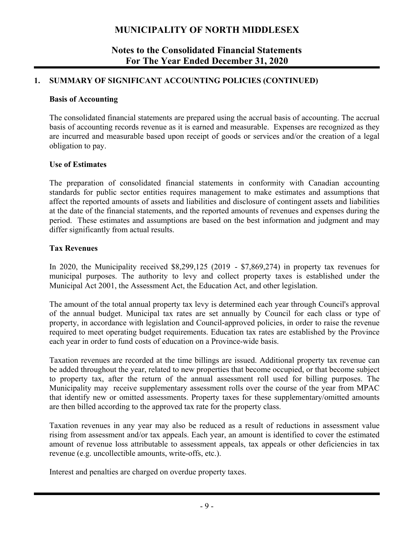### **Notes to the Consolidated Financial Statements For The Year Ended December 31, 2020**

### **1. SUMMARY OF SIGNIFICANT ACCOUNTING POLICIES (CONTINUED)**

#### **Basis of Accounting**

The consolidated financial statements are prepared using the accrual basis of accounting. The accrual basis of accounting records revenue as it is earned and measurable. Expenses are recognized as they are incurred and measurable based upon receipt of goods or services and/or the creation of a legal obligation to pay.

#### **Use of Estimates**

The preparation of consolidated financial statements in conformity with Canadian accounting standards for public sector entities requires management to make estimates and assumptions that affect the reported amounts of assets and liabilities and disclosure of contingent assets and liabilities at the date of the financial statements, and the reported amounts of revenues and expenses during the period. These estimates and assumptions are based on the best information and judgment and may differ significantly from actual results.

#### **Tax Revenues**

In 2020, the Municipality received \$8,299,125 (2019 - \$7,869,274) in property tax revenues for municipal purposes. The authority to levy and collect property taxes is established under the Municipal Act 2001, the Assessment Act, the Education Act, and other legislation.

The amount of the total annual property tax levy is determined each year through Council's approval of the annual budget. Municipal tax rates are set annually by Council for each class or type of property, in accordance with legislation and Council-approved policies, in order to raise the revenue required to meet operating budget requirements. Education tax rates are established by the Province each year in order to fund costs of education on a Province-wide basis.

Taxation revenues are recorded at the time billings are issued. Additional property tax revenue can be added throughout the year, related to new properties that become occupied, or that become subject to property tax, after the return of the annual assessment roll used for billing purposes. The Municipality may receive supplementary assessment rolls over the course of the year from MPAC that identify new or omitted assessments. Property taxes for these supplementary/omitted amounts are then billed according to the approved tax rate for the property class.

Taxation revenues in any year may also be reduced as a result of reductions in assessment value rising from assessment and/or tax appeals. Each year, an amount is identified to cover the estimated amount of revenue loss attributable to assessment appeals, tax appeals or other deficiencies in tax revenue (e.g. uncollectible amounts, write-offs, etc.).

Interest and penalties are charged on overdue property taxes.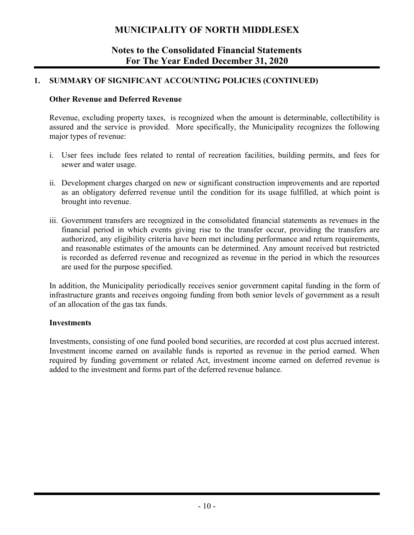### **Notes to the Consolidated Financial Statements For The Year Ended December 31, 2020**

### **1. SUMMARY OF SIGNIFICANT ACCOUNTING POLICIES (CONTINUED)**

### **Other Revenue and Deferred Revenue**

Revenue, excluding property taxes, is recognized when the amount is determinable, collectibility is assured and the service is provided. More specifically, the Municipality recognizes the following major types of revenue:

- i. User fees include fees related to rental of recreation facilities, building permits, and fees for sewer and water usage.
- ii. Development charges charged on new or significant construction improvements and are reported as an obligatory deferred revenue until the condition for its usage fulfilled, at which point is brought into revenue.
- iii. Government transfers are recognized in the consolidated financial statements as revenues in the financial period in which events giving rise to the transfer occur, providing the transfers are authorized, any eligibility criteria have been met including performance and return requirements, and reasonable estimates of the amounts can be determined. Any amount received but restricted is recorded as deferred revenue and recognized as revenue in the period in which the resources are used for the purpose specified.

In addition, the Municipality periodically receives senior government capital funding in the form of infrastructure grants and receives ongoing funding from both senior levels of government as a result of an allocation of the gas tax funds.

### **Investments**

Investments, consisting of one fund pooled bond securities, are recorded at cost plus accrued interest. Investment income earned on available funds is reported as revenue in the period earned. When required by funding government or related Act, investment income earned on deferred revenue is added to the investment and forms part of the deferred revenue balance.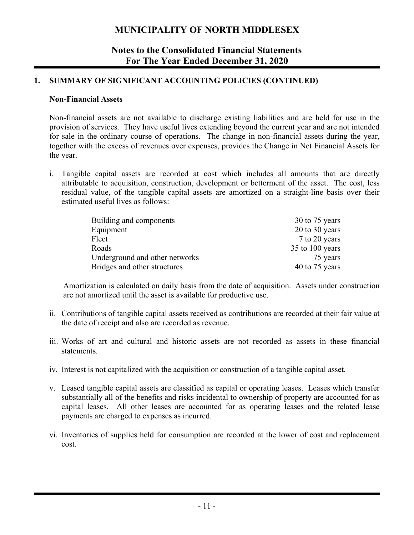### **Notes to the Consolidated Financial Statements For The Year Ended December 31, 2020**

### **1. SUMMARY OF SIGNIFICANT ACCOUNTING POLICIES (CONTINUED)**

#### **Non-Financial Assets**

Non-financial assets are not available to discharge existing liabilities and are held for use in the provision of services. They have useful lives extending beyond the current year and are not intended for sale in the ordinary course of operations. The change in non-financial assets during the year, together with the excess of revenues over expenses, provides the Change in Net Financial Assets for the year.

i. Tangible capital assets are recorded at cost which includes all amounts that are directly attributable to acquisition, construction, development or betterment of the asset. The cost, less residual value, of the tangible capital assets are amortized on a straight-line basis over their estimated useful lives as follows:

| Building and components        | 30 to 75 years     |
|--------------------------------|--------------------|
| Equipment                      | $20$ to $30$ years |
| Fleet                          | 7 to 20 years      |
| Roads                          | 35 to 100 years    |
| Underground and other networks | 75 years           |
| Bridges and other structures   | 40 to 75 years     |

Amortization is calculated on daily basis from the date of acquisition. Assets under construction are not amortized until the asset is available for productive use.

- ii. Contributions of tangible capital assets received as contributions are recorded at their fair value at the date of receipt and also are recorded as revenue.
- iii. Works of art and cultural and historic assets are not recorded as assets in these financial statements.
- iv. Interest is not capitalized with the acquisition or construction of a tangible capital asset.
- v. Leased tangible capital assets are classified as capital or operating leases. Leases which transfer substantially all of the benefits and risks incidental to ownership of property are accounted for as capital leases. All other leases are accounted for as operating leases and the related lease payments are charged to expenses as incurred.
- vi. Inventories of supplies held for consumption are recorded at the lower of cost and replacement cost.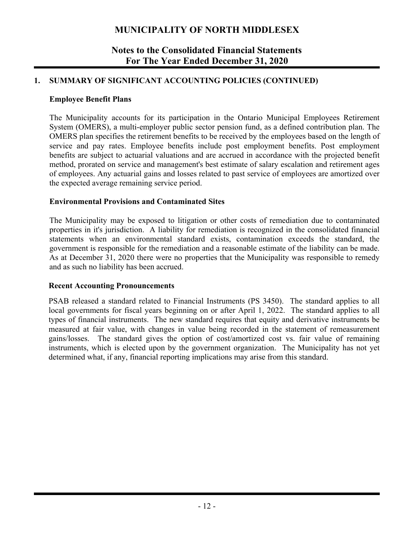### **Notes to the Consolidated Financial Statements For The Year Ended December 31, 2020**

### **1. SUMMARY OF SIGNIFICANT ACCOUNTING POLICIES (CONTINUED)**

#### **Employee Benefit Plans**

The Municipality accounts for its participation in the Ontario Municipal Employees Retirement System (OMERS), a multi-employer public sector pension fund, as a defined contribution plan. The OMERS plan specifies the retirement benefits to be received by the employees based on the length of service and pay rates. Employee benefits include post employment benefits. Post employment benefits are subject to actuarial valuations and are accrued in accordance with the projected benefit method, prorated on service and management's best estimate of salary escalation and retirement ages of employees. Any actuarial gains and losses related to past service of employees are amortized over the expected average remaining service period.

#### **Environmental Provisions and Contaminated Sites**

The Municipality may be exposed to litigation or other costs of remediation due to contaminated properties in it's jurisdiction. A liability for remediation is recognized in the consolidated financial statements when an environmental standard exists, contamination exceeds the standard, the government is responsible for the remediation and a reasonable estimate of the liability can be made. As at December 31, 2020 there were no properties that the Municipality was responsible to remedy and as such no liability has been accrued.

#### **Recent Accounting Pronouncements**

PSAB released a standard related to Financial Instruments (PS 3450). The standard applies to all local governments for fiscal years beginning on or after April 1, 2022. The standard applies to all types of financial instruments. The new standard requires that equity and derivative instruments be measured at fair value, with changes in value being recorded in the statement of remeasurement gains/losses. The standard gives the option of cost/amortized cost vs. fair value of remaining instruments, which is elected upon by the government organization. The Municipality has not yet determined what, if any, financial reporting implications may arise from this standard.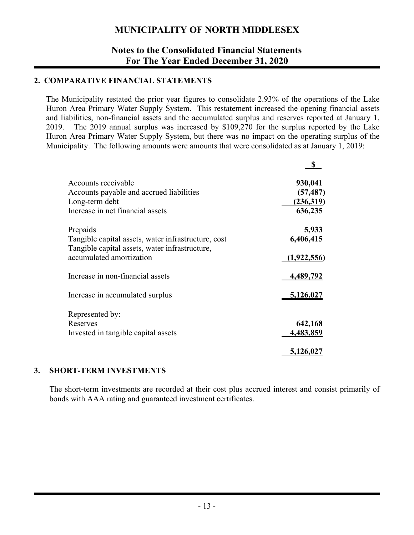### **Notes to the Consolidated Financial Statements For The Year Ended December 31, 2020**

### **2. COMPARATIVE FINANCIAL STATEMENTS**

The Municipality restated the prior year figures to consolidate 2.93% of the operations of the Lake Huron Area Primary Water Supply System. This restatement increased the opening financial assets and liabilities, non-financial assets and the accumulated surplus and reserves reported at January 1, 2019. The 2019 annual surplus was increased by \$109,270 for the surplus reported by the Lake Huron Area Primary Water Supply System, but there was no impact on the operating surplus of the Municipality. The following amounts were amounts that were consolidated as at January 1, 2019:

| Accounts receivable                                 | 930,041          |
|-----------------------------------------------------|------------------|
| Accounts payable and accrued liabilities            | (57, 487)        |
| Long-term debt                                      | (236,319)        |
| Increase in net financial assets                    | 636,235          |
| Prepaids                                            | 5,933            |
| Tangible capital assets, water infrastructure, cost | 6,406,415        |
| Tangible capital assets, water infrastructure,      |                  |
| accumulated amortization                            | (1,922,556)      |
| Increase in non-financial assets                    | <u>4,489,792</u> |
| Increase in accumulated surplus                     | <u>5,126,027</u> |
| Represented by:                                     |                  |
| Reserves                                            | 642,168          |
| Invested in tangible capital assets                 | 4,483,859        |
|                                                     | 5,126,027        |

### **3. SHORT-TERM INVESTMENTS**

The short-term investments are recorded at their cost plus accrued interest and consist primarily of bonds with AAA rating and guaranteed investment certificates.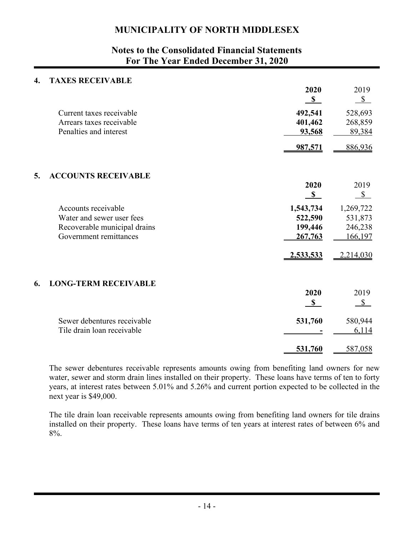### **Notes to the Consolidated Financial Statements For The Year Ended December 31, 2020**

| 4. | <b>TAXES RECEIVABLE</b>      |                     |                      |
|----|------------------------------|---------------------|----------------------|
|    |                              | 2020<br>$\mathbf S$ | 2019<br>$\mathbb{S}$ |
|    | Current taxes receivable     | 492,541             | 528,693              |
|    | Arrears taxes receivable     | 401,462             | 268,859              |
|    | Penalties and interest       | 93,568              | 89,384               |
|    |                              | 987,571             | 886,936              |
| 5. | <b>ACCOUNTS RECEIVABLE</b>   |                     |                      |
|    |                              | 2020                | 2019                 |
|    |                              | $\mathbf S$         | $\mathbb{S}$         |
|    | Accounts receivable          | 1,543,734           | 1,269,722            |
|    | Water and sewer user fees    | 522,590             | 531,873              |
|    | Recoverable municipal drains | 199,446             | 246,238              |
|    | Government remittances       | 267,763             | 166,197              |
|    |                              | 2,533,533           | 2,214,030            |
| 6. | <b>LONG-TERM RECEIVABLE</b>  |                     |                      |
|    |                              | 2020                | 2019                 |
|    |                              | $\mathbf{s}$        | S                    |
|    | Sewer debentures receivable  | 531,760             | 580,944              |
|    | Tile drain loan receivable   |                     | 6,114                |
|    |                              |                     |                      |
|    |                              | 531,760             | 587,058              |

The sewer debentures receivable represents amounts owing from benefiting land owners for new water, sewer and storm drain lines installed on their property. These loans have terms of ten to forty years, at interest rates between 5.01% and 5.26% and current portion expected to be collected in the next year is \$49,000.

The tile drain loan receivable represents amounts owing from benefiting land owners for tile drains installed on their property. These loans have terms of ten years at interest rates of between 6% and 8%.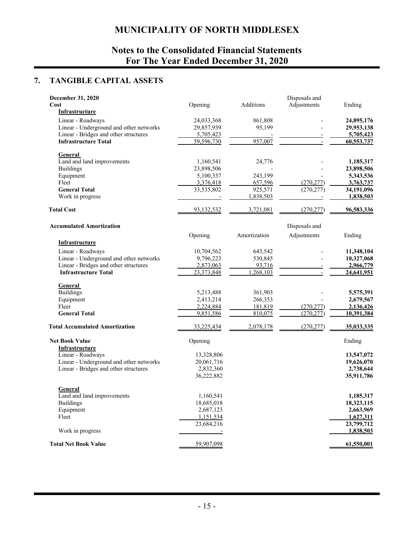## **Notes to the Consolidated Financial Statements For The Year Ended December 31, 2020**

### **7. TANGIBLE CAPITAL ASSETS**

| December 31, 2020                       |                   |              | Disposals and |                   |
|-----------------------------------------|-------------------|--------------|---------------|-------------------|
| Cost                                    | Opening           | Additions    | Adjustments   | Ending            |
| <b>Infrastructure</b>                   |                   |              |               |                   |
| Linear - Roadways                       | 24,033,368        | 861,808      |               | 24,895,176        |
| Linear - Underground and other networks | 29,857,939        | 95,199       |               | 29,953,138        |
| Linear - Bridges and other structures   | 5,705,423         |              |               | 5,705,423         |
| <b>Infrastructure Total</b>             | 59,596,730        | 957,007      |               | 60,553,737        |
|                                         |                   |              |               |                   |
| General                                 |                   |              |               |                   |
| Land and land improvements              | 1,160,541         | 24,776       |               | 1,185,317         |
| <b>Buildings</b>                        | 23,898,506        |              |               | 23,898,506        |
| Equipment                               | 5,100,337         | 243,199      |               | 5,343,536         |
| Fleet                                   | 3,376,418         | 657,596      | (270.277)     | 3,763,737         |
| <b>General Total</b>                    | 33,535,802        | 925,571      | (270, 277)    | 34,191,096        |
| Work in progress                        |                   | 1,838,503    |               | 1,838,503         |
|                                         |                   |              |               |                   |
| <b>Total Cost</b>                       | 93,132,532        | 3,721,081    | (270, 277)    | 96,583,336        |
|                                         |                   |              |               |                   |
| <b>Accumulated Amortization</b>         |                   |              | Disposals and |                   |
|                                         | Opening           | Amortization | Adjustments   | Ending            |
| <b>Infrastructure</b>                   |                   |              |               |                   |
| Linear - Roadways                       | 10,704,562        | 643,542      |               | 11,348,104        |
| Linear - Underground and other networks | 9,796,223         | 530,845      |               | 10,327,068        |
| Linear - Bridges and other structures   | 2,873,063         | 93,716       |               | 2,966,779         |
| <b>Infrastructure Total</b>             | 23,373,848        | 1,268,103    |               | 24,641,951        |
|                                         |                   |              |               |                   |
| General                                 |                   |              |               |                   |
| <b>Buildings</b>                        | 5,213,488         | 361,903      |               | 5,575,391         |
| Equipment                               | 2,413,214         | 266,353      |               | 2,679,567         |
| Fleet                                   | 2,224,884         | 181,819      | (270, 277)    | 2,136,426         |
| <b>General Total</b>                    | 9,851,586         | 810,075      | (270, 277)    | 10,391,384        |
| <b>Total Accumulated Amortization</b>   | <u>33,225,434</u> | 2,078,178    | (270, 277)    | <u>35,033,335</u> |
| <b>Net Book Value</b>                   |                   |              |               | Ending            |
| <b>Infrastructure</b>                   | Opening           |              |               |                   |
| Linear - Roadways                       | 13,328,806        |              |               | 13,547,072        |
| Linear - Underground and other networks | 20,061,716        |              |               | 19,626,070        |
| Linear - Bridges and other structures   | 2,832,360         |              |               | 2,738,644         |
|                                         | 36,222,882        |              |               | 35,911,786        |
|                                         |                   |              |               |                   |
| General                                 |                   |              |               |                   |
| Land and land improvements              | 1,160,541         |              |               | 1,185,317         |
| <b>Buildings</b>                        | 18,685,018        |              |               | 18,323,115        |
| Equipment                               | 2,687,123         |              |               | 2,663,969         |
| Fleet                                   | 1,151,534         |              |               | 1,627,311         |
|                                         | 23,684,216        |              |               | 23,799,712        |
| Work in progress                        |                   |              |               | 1,838,503         |
| <b>Total Net Book Value</b>             | 59,907,098        |              |               | 61,550,001        |
|                                         |                   |              |               |                   |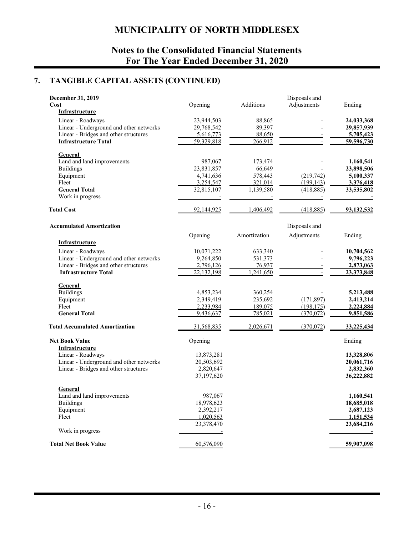## **Notes to the Consolidated Financial Statements For The Year Ended December 31, 2020**

# **7. TANGIBLE CAPITAL ASSETS (CONTINUED)**

| December 31, 2019                       |                         |                   | Disposals and |                         |
|-----------------------------------------|-------------------------|-------------------|---------------|-------------------------|
| Cost                                    | Opening                 | Additions         | Adjustments   | Ending                  |
| <b>Infrastructure</b>                   |                         |                   |               |                         |
| Linear - Roadways                       | 23,944,503              | 88,865            |               | 24,033,368              |
| Linear - Underground and other networks | 29,768,542              | 89,397            |               | 29,857,939              |
| Linear - Bridges and other structures   | 5,616,773               | 88,650            |               | 5,705,423               |
| <b>Infrastructure Total</b>             | 59,329,818              | 266,912           |               | 59,596,730              |
|                                         |                         |                   |               |                         |
| General<br>Land and land improvements   |                         |                   |               |                         |
|                                         | 987,067                 | 173,474<br>66,649 |               | 1,160,541               |
| <b>Buildings</b><br>Equipment           | 23,831,857<br>4,741,636 | 578,443           | (219,742)     | 23,898,506<br>5,100,337 |
| Fleet                                   | 3,254,547               | 321,014           | (199, 143)    | 3,376,418               |
| <b>General Total</b>                    | 32,815,107              | 1,139,580         | (418, 885)    | 33,535,802              |
| Work in progress                        |                         |                   |               |                         |
| <b>Total Cost</b>                       | 92,144,925              | 1,406,492         | (418, 885)    | 93,132,532              |
|                                         |                         |                   |               |                         |
| <b>Accumulated Amortization</b>         |                         |                   | Disposals and |                         |
|                                         | Opening                 | Amortization      | Adjustments   | Ending                  |
| <b>Infrastructure</b>                   |                         |                   |               |                         |
| Linear - Roadways                       | 10,071,222              | 633,340           |               | 10,704,562              |
| Linear - Underground and other networks | 9,264,850               | 531,373           |               | 9,796,223               |
| Linear - Bridges and other structures   | 2,796,126               | 76,937            |               | 2,873,063               |
| <b>Infrastructure Total</b>             | 22,132,198              | 1,241,650         |               | 23,373,848              |
|                                         |                         |                   |               |                         |
| General<br><b>Buildings</b>             | 4,853,234               | 360,254           |               | 5,213,488               |
| Equipment                               | 2,349,419               | 235,692           | (171, 897)    | 2,413,214               |
| Fleet                                   | 2,233,984               | 189,075           | (198, 175)    | 2,224,884               |
| <b>General Total</b>                    | 9,436,637               | 785,021           | (370,072)     | 9,851,586               |
| <b>Total Accumulated Amortization</b>   | 31,568,835              | 2,026,671         | (370,072)     | 33,225,434              |
|                                         |                         |                   |               |                         |
| <b>Net Book Value</b>                   | Opening                 |                   |               | Ending                  |
| <b>Infrastructure</b>                   |                         |                   |               |                         |
| Linear - Roadways                       | 13,873,281              |                   |               | 13,328,806              |
| Linear - Underground and other networks | 20,503,692              |                   |               | 20,061,716              |
| Linear - Bridges and other structures   | 2,820,647               |                   |               | 2,832,360               |
|                                         | 37,197,620              |                   |               | 36,222,882              |
| General                                 |                         |                   |               |                         |
| Land and land improvements              | 987,067                 |                   |               | 1,160,541               |
| <b>Buildings</b>                        | 18,978,623              |                   |               | 18,685,018              |
| Equipment                               | 2,392,217               |                   |               | 2,687,123               |
| Fleet                                   | 1,020,563               |                   |               | 1,151,534               |
|                                         | 23,378,470              |                   |               | 23,684,216              |
| Work in progress                        |                         |                   |               |                         |
| <b>Total Net Book Value</b>             | 60,576,090              |                   |               | 59,907,098              |
|                                         |                         |                   |               |                         |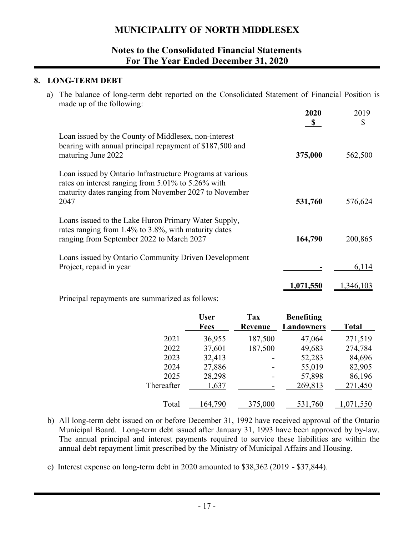### **Notes to the Consolidated Financial Statements For The Year Ended December 31, 2020**

#### **8. LONG-TERM DEBT**

a) The balance of long-term debt reported on the Consolidated Statement of Financial Position is made up of the following: **2020** 2019

|                                                                                                                                                                                  | 2020<br>$\mathbf s$ | 2019      |
|----------------------------------------------------------------------------------------------------------------------------------------------------------------------------------|---------------------|-----------|
| Loan issued by the County of Middlesex, non-interest<br>bearing with annual principal repayment of \$187,500 and<br>maturing June 2022                                           | 375,000             | 562,500   |
| Loan issued by Ontario Infrastructure Programs at various<br>rates on interest ranging from 5.01% to 5.26% with<br>maturity dates ranging from November 2027 to November<br>2047 | 531,760             | 576,624   |
| Loans issued to the Lake Huron Primary Water Supply,<br>rates ranging from 1.4% to 3.8%, with maturity dates<br>ranging from September 2022 to March 2027                        | 164,790             | 200,865   |
| Loans issued by Ontario Community Driven Development<br>Project, repaid in year                                                                                                  |                     | 6,114     |
|                                                                                                                                                                                  | 1,071,550           | 1,346,103 |

Principal repayments are summarized as follows:

|            | <b>User</b><br>Fees | <b>Tax</b><br>Revenue | <b>Benefiting</b><br><b>Landowners</b> | <b>Total</b> |
|------------|---------------------|-----------------------|----------------------------------------|--------------|
| 2021       | 36,955              | 187,500               | 47,064                                 | 271,519      |
| 2022       | 37,601              | 187,500               | 49,683                                 | 274,784      |
| 2023       | 32,413              |                       | 52,283                                 | 84,696       |
| 2024       | 27,886              |                       | 55,019                                 | 82,905       |
| 2025       | 28,298              |                       | 57,898                                 | 86,196       |
| Thereafter | 1,637               |                       | 269,813                                | 271,450      |
| Total      | 164,790             | 375,000               | 531,760                                | 1,071,550    |

- b) All long-term debt issued on or before December 31, 1992 have received approval of the Ontario Municipal Board. Long-term debt issued after January 31, 1993 have been approved by by-law. The annual principal and interest payments required to service these liabilities are within the annual debt repayment limit prescribed by the Ministry of Municipal Affairs and Housing.
- c) Interest expense on long-term debt in 2020 amounted to \$38,362 (2019 \$37,844).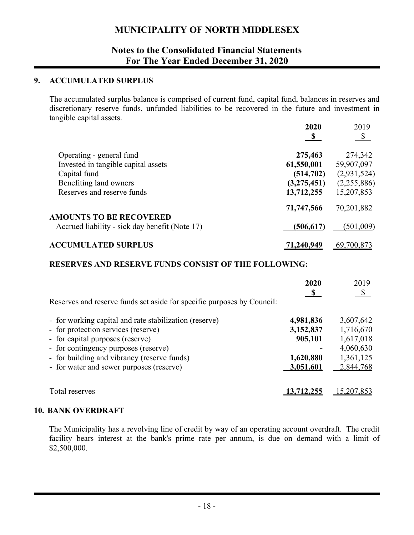### **Notes to the Consolidated Financial Statements For The Year Ended December 31, 2020**

### **9. ACCUMULATED SURPLUS**

The accumulated surplus balance is comprised of current fund, capital fund, balances in reserves and discretionary reserve funds, unfunded liabilities to be recovered in the future and investment in tangible capital assets.

|                                                | 2020          | 2019        |
|------------------------------------------------|---------------|-------------|
|                                                | $\mathbf{\$}$ | \$          |
| Operating - general fund                       | 275,463       | 274,342     |
| Invested in tangible capital assets            | 61,550,001    | 59,907,097  |
| Capital fund                                   | (514, 702)    | (2,931,524) |
| Benefiting land owners                         | (3,275,451)   | (2,255,886) |
| Reserves and reserve funds                     | 13,712,255    | 15,207,853  |
|                                                | 71,747,566    | 70,201,882  |
| <b>AMOUNTS TO BE RECOVERED</b>                 |               |             |
| Accrued liability - sick day benefit (Note 17) | (506, 617)    | (501,009)   |
| <b>ACCUMULATED SURPLUS</b>                     | 71,240,949    | 69,700,873  |

#### **RESERVES AND RESERVE FUNDS CONSIST OF THE FOLLOWING:**

|                                                                        | 2020      | 2019       |
|------------------------------------------------------------------------|-----------|------------|
| Reserves and reserve funds set aside for specific purposes by Council: | \$        |            |
| - for working capital and rate stabilization (reserve)                 | 4,981,836 | 3,607,642  |
| - for protection services (reserve)                                    | 3,152,837 | 1,716,670  |
| - for capital purposes (reserve)                                       | 905,101   | 1,617,018  |
| - for contingency purposes (reserve)                                   |           | 4,060,630  |
| - for building and vibrancy (reserve funds)                            | 1,620,880 | 1,361,125  |
| - for water and sewer purposes (reserve)                               | 3,051,601 | 2,844,768  |
| Total reserves                                                         |           | 15,207,853 |
|                                                                        |           |            |

#### **10. BANK OVERDRAFT**

The Municipality has a revolving line of credit by way of an operating account overdraft. The credit facility bears interest at the bank's prime rate per annum, is due on demand with a limit of \$2,500,000.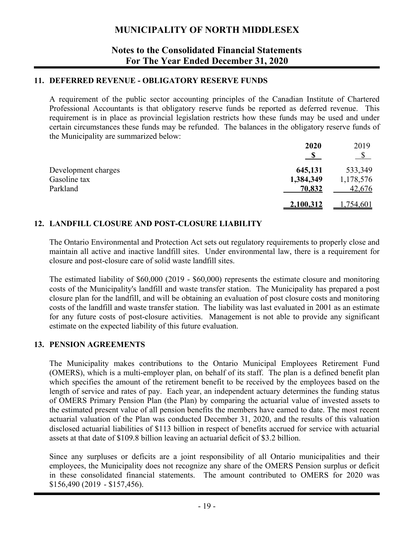### **Notes to the Consolidated Financial Statements For The Year Ended December 31, 2020**

### **11. DEFERRED REVENUE - OBLIGATORY RESERVE FUNDS**

A requirement of the public sector accounting principles of the Canadian Institute of Chartered Professional Accountants is that obligatory reserve funds be reported as deferred revenue. This requirement is in place as provincial legislation restricts how these funds may be used and under certain circumstances these funds may be refunded. The balances in the obligatory reserve funds of the Municipality are summarized below:

|                     | 2020      | 2019             |
|---------------------|-----------|------------------|
| Development charges | 645,131   | 533,349          |
| Gasoline tax        | 1,384,349 | 1,178,576        |
| Parkland            | 70,832    | 42,676           |
|                     | 2,100,312 | <u>1,754,601</u> |

### **12. LANDFILL CLOSURE AND POST-CLOSURE LIABILITY**

The Ontario Environmental and Protection Act sets out regulatory requirements to properly close and maintain all active and inactive landfill sites. Under environmental law, there is a requirement for closure and post-closure care of solid waste landfill sites.

The estimated liability of \$60,000 (2019 - \$60,000) represents the estimate closure and monitoring costs of the Municipality's landfill and waste transfer station. The Municipality has prepared a post closure plan for the landfill, and will be obtaining an evaluation of post closure costs and monitoring costs of the landfill and waste transfer station. The liability was last evaluated in 2001 as an estimate for any future costs of post-closure activities. Management is not able to provide any significant estimate on the expected liability of this future evaluation.

#### **13. PENSION AGREEMENTS**

The Municipality makes contributions to the Ontario Municipal Employees Retirement Fund (OMERS), which is a multi-employer plan, on behalf of its staff. The plan is a defined benefit plan which specifies the amount of the retirement benefit to be received by the employees based on the length of service and rates of pay. Each year, an independent actuary determines the funding status of OMERS Primary Pension Plan (the Plan) by comparing the actuarial value of invested assets to the estimated present value of all pension benefits the members have earned to date. The most recent actuarial valuation of the Plan was conducted December 31, 2020, and the results of this valuation disclosed actuarial liabilities of \$113 billion in respect of benefits accrued for service with actuarial assets at that date of \$109.8 billion leaving an actuarial deficit of \$3.2 billion.

Since any surpluses or deficits are a joint responsibility of all Ontario municipalities and their employees, the Municipality does not recognize any share of the OMERS Pension surplus or deficit in these consolidated financial statements. The amount contributed to OMERS for 2020 was \$156,490 (2019 - \$157,456).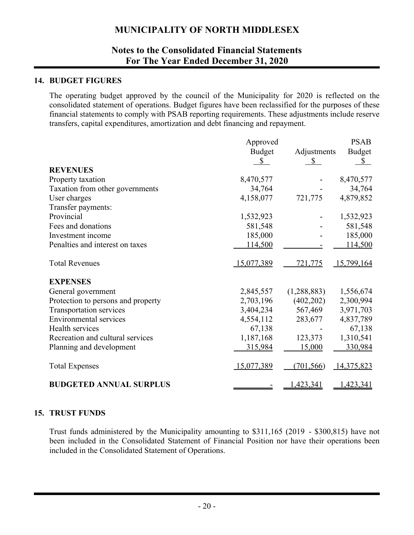### **Notes to the Consolidated Financial Statements For The Year Ended December 31, 2020**

#### **14. BUDGET FIGURES**

The operating budget approved by the council of the Municipality for 2020 is reflected on the consolidated statement of operations. Budget figures have been reclassified for the purposes of these financial statements to comply with PSAB reporting requirements. These adjustments include reserve transfers, capital expenditures, amortization and debt financing and repayment.

|                                    | Approved      |              | <b>PSAB</b>       |
|------------------------------------|---------------|--------------|-------------------|
|                                    | <b>Budget</b> | Adjustments  | <b>Budget</b>     |
|                                    | \$            | $\mathbb{S}$ | $\frac{1}{2}$     |
| <b>REVENUES</b>                    |               |              |                   |
| Property taxation                  | 8,470,577     |              | 8,470,577         |
| Taxation from other governments    | 34,764        |              | 34,764            |
| User charges                       | 4,158,077     | 721,775      | 4,879,852         |
| Transfer payments:                 |               |              |                   |
| Provincial                         | 1,532,923     |              | 1,532,923         |
| Fees and donations                 | 581,548       |              | 581,548           |
| Investment income                  | 185,000       |              | 185,000           |
| Penalties and interest on taxes    | 114,500       |              | 114,500           |
| <b>Total Revenues</b>              | 15,077,389    | 721,775      | 15,799,164        |
| <b>EXPENSES</b>                    |               |              |                   |
| General government                 | 2,845,557     | (1,288,883)  | 1,556,674         |
| Protection to persons and property | 2,703,196     | (402, 202)   | 2,300,994         |
| Transportation services            | 3,404,234     | 567,469      | 3,971,703         |
| <b>Environmental services</b>      | 4,554,112     | 283,677      | 4,837,789         |
| Health services                    | 67,138        |              | 67,138            |
| Recreation and cultural services   | 1,187,168     | 123,373      | 1,310,541         |
| Planning and development           | 315,984       | 15,000       | 330,984           |
| <b>Total Expenses</b>              | 15,077,389    | (701, 566)   | <u>14,375,823</u> |
| <b>BUDGETED ANNUAL SURPLUS</b>     |               | 1,423,341    | <u>1,423,341</u>  |

### **15. TRUST FUNDS**

Trust funds administered by the Municipality amounting to \$311,165 (2019 - \$300,815) have not been included in the Consolidated Statement of Financial Position nor have their operations been included in the Consolidated Statement of Operations.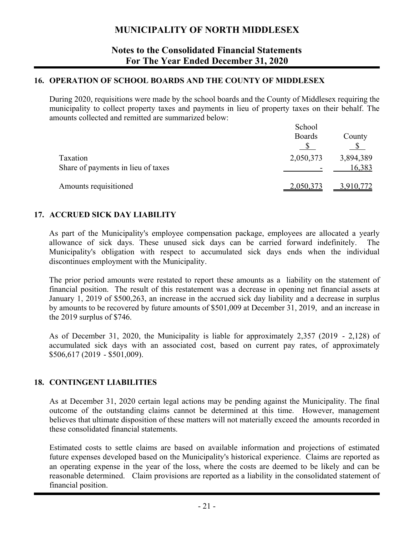### **Notes to the Consolidated Financial Statements For The Year Ended December 31, 2020**

### **16. OPERATION OF SCHOOL BOARDS AND THE COUNTY OF MIDDLESEX**

During 2020, requisitions were made by the school boards and the County of Middlesex requiring the municipality to collect property taxes and payments in lieu of property taxes on their behalf. The amounts collected and remitted are summarized below:

|                                    | School        |           |  |  |
|------------------------------------|---------------|-----------|--|--|
|                                    | <b>Boards</b> | County    |  |  |
|                                    |               |           |  |  |
| Taxation                           | 2,050,373     | 3,894,389 |  |  |
| Share of payments in lieu of taxes |               | 16,383    |  |  |
| Amounts requisitioned              | 2,050,373     | 3,910,772 |  |  |

### **17. ACCRUED SICK DAY LIABILITY**

As part of the Municipality's employee compensation package, employees are allocated a yearly allowance of sick days. These unused sick days can be carried forward indefinitely. The Municipality's obligation with respect to accumulated sick days ends when the individual discontinues employment with the Municipality.

The prior period amounts were restated to report these amounts as a liability on the statement of financial position. The result of this restatement was a decrease in opening net financial assets at January 1, 2019 of \$500,263, an increase in the accrued sick day liability and a decrease in surplus by amounts to be recovered by future amounts of \$501,009 at December 31, 2019, and an increase in the 2019 surplus of \$746.

As of December 31, 2020, the Municipality is liable for approximately 2,357 (2019 - 2,128) of accumulated sick days with an associated cost, based on current pay rates, of approximately \$506,617 (2019 - \$501,009).

### **18. CONTINGENT LIABILITIES**

As at December 31, 2020 certain legal actions may be pending against the Municipality. The final outcome of the outstanding claims cannot be determined at this time. However, management believes that ultimate disposition of these matters will not materially exceed the amounts recorded in these consolidated financial statements.

Estimated costs to settle claims are based on available information and projections of estimated future expenses developed based on the Municipality's historical experience. Claims are reported as an operating expense in the year of the loss, where the costs are deemed to be likely and can be reasonable determined. Claim provisions are reported as a liability in the consolidated statement of financial position.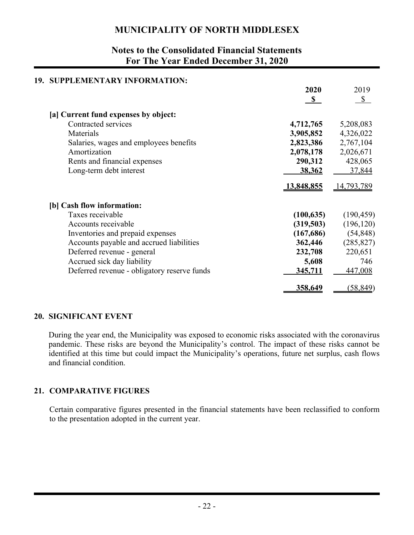### **Notes to the Consolidated Financial Statements For The Year Ended December 31, 2020**

### **19. SUPPLEMENTARY INFORMATION:**

|                                             | 2020       | 2019       |
|---------------------------------------------|------------|------------|
|                                             | <b>S</b>   | \$         |
| [a] Current fund expenses by object:        |            |            |
| Contracted services                         | 4,712,765  | 5,208,083  |
| Materials                                   | 3,905,852  | 4,326,022  |
| Salaries, wages and employees benefits      | 2,823,386  | 2,767,104  |
| Amortization                                | 2,078,178  | 2,026,671  |
| Rents and financial expenses                | 290,312    | 428,065    |
| Long-term debt interest                     | 38,362     | 37,844     |
|                                             | 13,848,855 | 14,793,789 |
| [b] Cash flow information:                  |            |            |
| Taxes receivable                            | (100, 635) | (190, 459) |
| Accounts receivable                         | (319,503)  | (196, 120) |
| Inventories and prepaid expenses            | (167, 686) | (54, 848)  |
| Accounts payable and accrued liabilities    | 362,446    | (285, 827) |
| Deferred revenue - general                  | 232,708    | 220,651    |
| Accrued sick day liability                  | 5,608      | 746        |
| Deferred revenue - obligatory reserve funds | 345,711    | 447,008    |
|                                             | 358,649    | (58, 849)  |

### **20. SIGNIFICANT EVENT**

During the year end, the Municipality was exposed to economic risks associated with the coronavirus pandemic. These risks are beyond the Municipality's control. The impact of these risks cannot be identified at this time but could impact the Municipality's operations, future net surplus, cash flows and financial condition.

### **21. COMPARATIVE FIGURES**

Certain comparative figures presented in the financial statements have been reclassified to conform to the presentation adopted in the current year.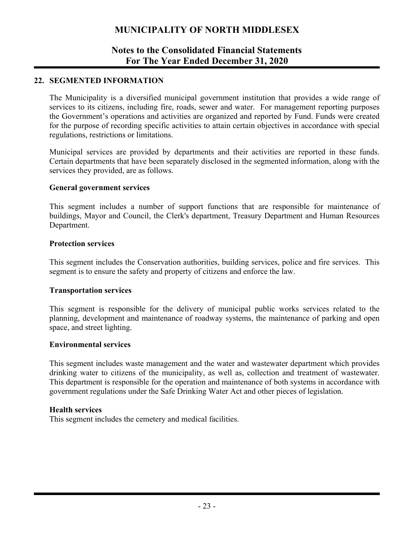### **Notes to the Consolidated Financial Statements For The Year Ended December 31, 2020**

### **22. SEGMENTED INFORMATION**

The Municipality is a diversified municipal government institution that provides a wide range of services to its citizens, including fire, roads, sewer and water. For management reporting purposes the Government's operations and activities are organized and reported by Fund. Funds were created for the purpose of recording specific activities to attain certain objectives in accordance with special regulations, restrictions or limitations.

Municipal services are provided by departments and their activities are reported in these funds. Certain departments that have been separately disclosed in the segmented information, along with the services they provided, are as follows.

#### **General government services**

This segment includes a number of support functions that are responsible for maintenance of buildings, Mayor and Council, the Clerk's department, Treasury Department and Human Resources Department.

#### **Protection services**

This segment includes the Conservation authorities, building services, police and fire services. This segment is to ensure the safety and property of citizens and enforce the law.

### **Transportation services**

This segment is responsible for the delivery of municipal public works services related to the planning, development and maintenance of roadway systems, the maintenance of parking and open space, and street lighting.

### **Environmental services**

This segment includes waste management and the water and wastewater department which provides drinking water to citizens of the municipality, as well as, collection and treatment of wastewater. This department is responsible for the operation and maintenance of both systems in accordance with government regulations under the Safe Drinking Water Act and other pieces of legislation.

### **Health services**

This segment includes the cemetery and medical facilities.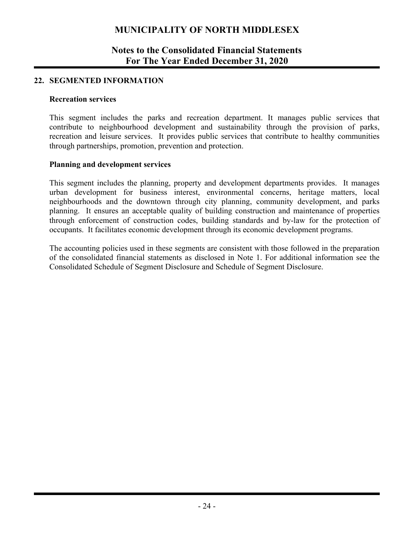### **Notes to the Consolidated Financial Statements For The Year Ended December 31, 2020**

#### **22. SEGMENTED INFORMATION**

#### **Recreation services**

This segment includes the parks and recreation department. It manages public services that contribute to neighbourhood development and sustainability through the provision of parks, recreation and leisure services. It provides public services that contribute to healthy communities through partnerships, promotion, prevention and protection.

#### **Planning and development services**

This segment includes the planning, property and development departments provides. It manages urban development for business interest, environmental concerns, heritage matters, local neighbourhoods and the downtown through city planning, community development, and parks planning. It ensures an acceptable quality of building construction and maintenance of properties through enforcement of construction codes, building standards and by-law for the protection of occupants. It facilitates economic development through its economic development programs.

The accounting policies used in these segments are consistent with those followed in the preparation of the consolidated financial statements as disclosed in Note 1. For additional information see the Consolidated Schedule of Segment Disclosure and Schedule of Segment Disclosure.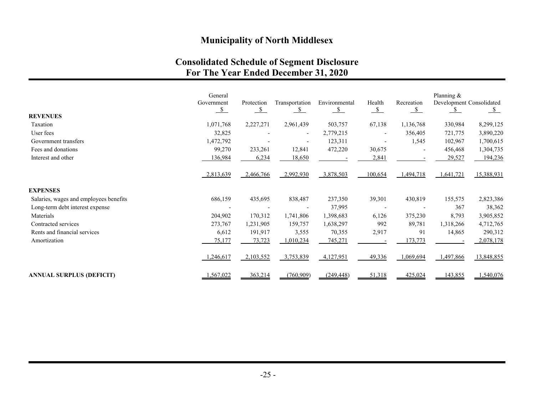# **Consolidated Schedule of Segment Disclosure For The Year Ended December 31, 2020**

|                                        | General<br>Government<br>$\mathcal{S}$ | Protection<br>$\sqrt{s}$ | Transportation<br>\$     | Environmental<br>$\mathcal{S}$ | Health<br>$\sqrt{s}$ | Recreation<br>$\frac{\mathcal{S}}{\mathcal{S}}$ | Planning &<br>Development Consolidated<br>$\mathcal{S}$ | $\mathcal{S}$ |
|----------------------------------------|----------------------------------------|--------------------------|--------------------------|--------------------------------|----------------------|-------------------------------------------------|---------------------------------------------------------|---------------|
| <b>REVENUES</b>                        |                                        |                          |                          |                                |                      |                                                 |                                                         |               |
| Taxation                               | 1,071,768                              | 2,227,271                | 2,961,439                | 503,757                        | 67,138               | 1,136,768                                       | 330,984                                                 | 8,299,125     |
| User fees                              | 32,825                                 |                          | $\overline{\phantom{a}}$ | 2,779,215                      |                      | 356,405                                         | 721,775                                                 | 3,890,220     |
| Government transfers                   | 1,472,792                              |                          |                          | 123,311                        |                      | 1,545                                           | 102,967                                                 | 1,700,615     |
| Fees and donations                     | 99,270                                 | 233,261                  | 12,841                   | 472,220                        | 30,675               |                                                 | 456,468                                                 | 1,304,735     |
| Interest and other                     | 136,984                                | 6,234                    | <u>18,650</u>            |                                | 2,841                |                                                 | 29,527                                                  | 194,236       |
|                                        | 2,813,639                              | 2,466,766                | 2,992,930                | 3,878,503                      | 100,654              | 1,494,718                                       | 1,641,721                                               | 15,388,931    |
| <b>EXPENSES</b>                        |                                        |                          |                          |                                |                      |                                                 |                                                         |               |
| Salaries, wages and employees benefits | 686,159                                | 435,695                  | 838,487                  | 237,350                        | 39,301               | 430,819                                         | 155,575                                                 | 2,823,386     |
| Long-term debt interest expense        |                                        |                          |                          | 37,995                         |                      |                                                 | 367                                                     | 38,362        |
| Materials                              | 204,902                                | 170,312                  | 1,741,806                | 1,398,683                      | 6,126                | 375,230                                         | 8,793                                                   | 3,905,852     |
| Contracted services                    | 273,767                                | 1,231,905                | 159,757                  | 1,638,297                      | 992                  | 89,781                                          | 1,318,266                                               | 4,712,765     |
| Rents and financial services           | 6,612                                  | 191,917                  | 3,555                    | 70,355                         | 2,917                | 91                                              | 14,865                                                  | 290,312       |
| Amortization                           | 75,177                                 | 73,723                   | 1,010,234                | 745,271                        |                      | 173,773                                         |                                                         | 2,078,178     |
|                                        | ,246,617                               | 2,103,552                | 3,753,839                | 4,127,951                      | 49,336               | 1,069,694                                       | 1,497,866                                               | 13,848,855    |
| <b>ANNUAL SURPLUS (DEFICIT)</b>        | 1,567,022                              | 363,214                  | (760, 909)               | (249, 448)                     | 51,318               | 425,024                                         | 143,855                                                 | ,540,076      |